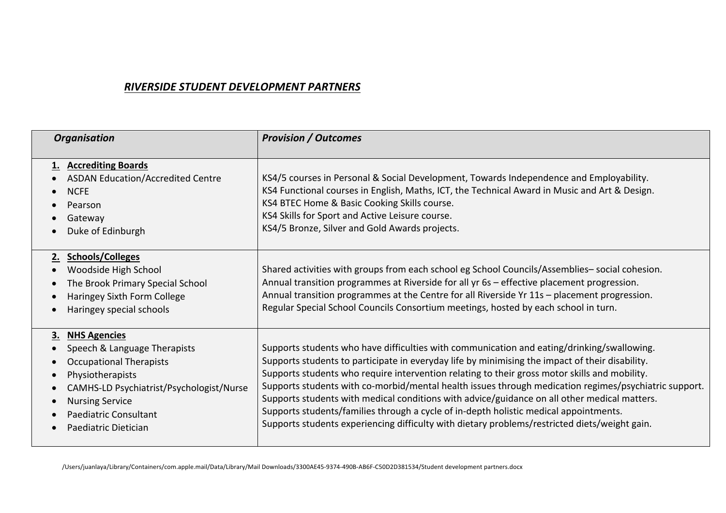## *RIVERSIDE STUDENT DEVELOPMENT PARTNERS*

| <b>Organisation</b>                                                                                                                                                                                                                           | <b>Provision / Outcomes</b>                                                                                                                                                                                                                                                                                                                                                                                                                                                                                                                                                                                                                                                                       |
|-----------------------------------------------------------------------------------------------------------------------------------------------------------------------------------------------------------------------------------------------|---------------------------------------------------------------------------------------------------------------------------------------------------------------------------------------------------------------------------------------------------------------------------------------------------------------------------------------------------------------------------------------------------------------------------------------------------------------------------------------------------------------------------------------------------------------------------------------------------------------------------------------------------------------------------------------------------|
| <b>Accrediting Boards</b><br>1.<br><b>ASDAN Education/Accredited Centre</b><br><b>NCFE</b><br>Pearson<br>Gateway<br>Duke of Edinburgh                                                                                                         | KS4/5 courses in Personal & Social Development, Towards Independence and Employability.<br>KS4 Functional courses in English, Maths, ICT, the Technical Award in Music and Art & Design.<br>KS4 BTEC Home & Basic Cooking Skills course.<br>KS4 Skills for Sport and Active Leisure course.<br>KS4/5 Bronze, Silver and Gold Awards projects.                                                                                                                                                                                                                                                                                                                                                     |
| 2. Schools/Colleges<br>Woodside High School<br>The Brook Primary Special School<br>Haringey Sixth Form College<br>Haringey special schools                                                                                                    | Shared activities with groups from each school eg School Councils/Assemblies-social cohesion.<br>Annual transition programmes at Riverside for all yr 6s - effective placement progression.<br>Annual transition programmes at the Centre for all Riverside Yr 11s - placement progression.<br>Regular Special School Councils Consortium meetings, hosted by each school in turn.                                                                                                                                                                                                                                                                                                                |
| <b>NHS Agencies</b><br>3.<br>Speech & Language Therapists<br><b>Occupational Therapists</b><br>Physiotherapists<br>CAMHS-LD Psychiatrist/Psychologist/Nurse<br><b>Nursing Service</b><br><b>Paediatric Consultant</b><br>Paediatric Dietician | Supports students who have difficulties with communication and eating/drinking/swallowing.<br>Supports students to participate in everyday life by minimising the impact of their disability.<br>Supports students who require intervention relating to their gross motor skills and mobility.<br>Supports students with co-morbid/mental health issues through medication regimes/psychiatric support.<br>Supports students with medical conditions with advice/guidance on all other medical matters.<br>Supports students/families through a cycle of in-depth holistic medical appointments.<br>Supports students experiencing difficulty with dietary problems/restricted diets/weight gain. |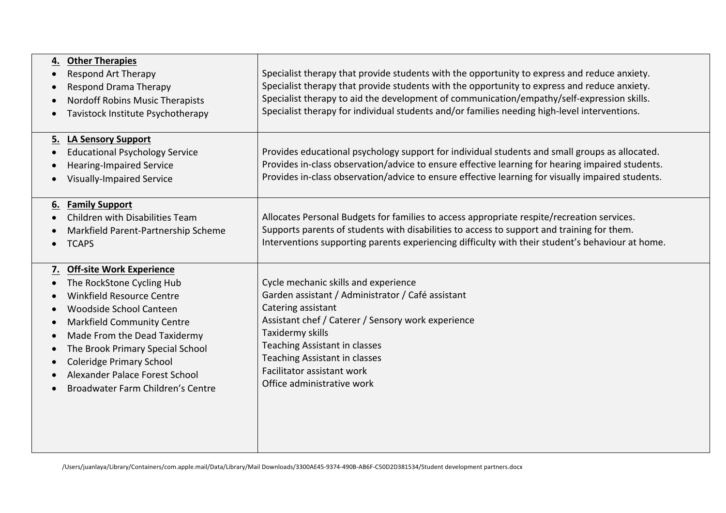| 4. | <b>Other Therapies</b><br><b>Respond Art Therapy</b><br><b>Respond Drama Therapy</b><br><b>Nordoff Robins Music Therapists</b><br>Tavistock Institute Psychotherapy                                                                                                                                                                 | Specialist therapy that provide students with the opportunity to express and reduce anxiety.<br>Specialist therapy that provide students with the opportunity to express and reduce anxiety.<br>Specialist therapy to aid the development of communication/empathy/self-expression skills.<br>Specialist therapy for individual students and/or families needing high-level interventions. |
|----|-------------------------------------------------------------------------------------------------------------------------------------------------------------------------------------------------------------------------------------------------------------------------------------------------------------------------------------|--------------------------------------------------------------------------------------------------------------------------------------------------------------------------------------------------------------------------------------------------------------------------------------------------------------------------------------------------------------------------------------------|
|    | 5. LA Sensory Support<br><b>Educational Psychology Service</b><br><b>Hearing-Impaired Service</b><br><b>Visually-Impaired Service</b>                                                                                                                                                                                               | Provides educational psychology support for individual students and small groups as allocated.<br>Provides in-class observation/advice to ensure effective learning for hearing impaired students.<br>Provides in-class observation/advice to ensure effective learning for visually impaired students.                                                                                    |
| 6. | <b>Family Support</b><br>Children with Disabilities Team<br>Markfield Parent-Partnership Scheme<br><b>TCAPS</b>                                                                                                                                                                                                                     | Allocates Personal Budgets for families to access appropriate respite/recreation services.<br>Supports parents of students with disabilities to access to support and training for them.<br>Interventions supporting parents experiencing difficulty with their student's behaviour at home.                                                                                               |
|    | 7. Off-site Work Experience<br>The RockStone Cycling Hub<br>Winkfield Resource Centre<br>Woodside School Canteen<br><b>Markfield Community Centre</b><br>Made From the Dead Taxidermy<br>The Brook Primary Special School<br><b>Coleridge Primary School</b><br>Alexander Palace Forest School<br>Broadwater Farm Children's Centre | Cycle mechanic skills and experience<br>Garden assistant / Administrator / Café assistant<br>Catering assistant<br>Assistant chef / Caterer / Sensory work experience<br>Taxidermy skills<br>Teaching Assistant in classes<br><b>Teaching Assistant in classes</b><br>Facilitator assistant work<br>Office administrative work                                                             |

/Users/juanlaya/Library/Containers/com.apple.mail/Data/Library/Mail Downloads/3300AE45-9374-490B-AB6F-C50D2D381534/Student development partners.docx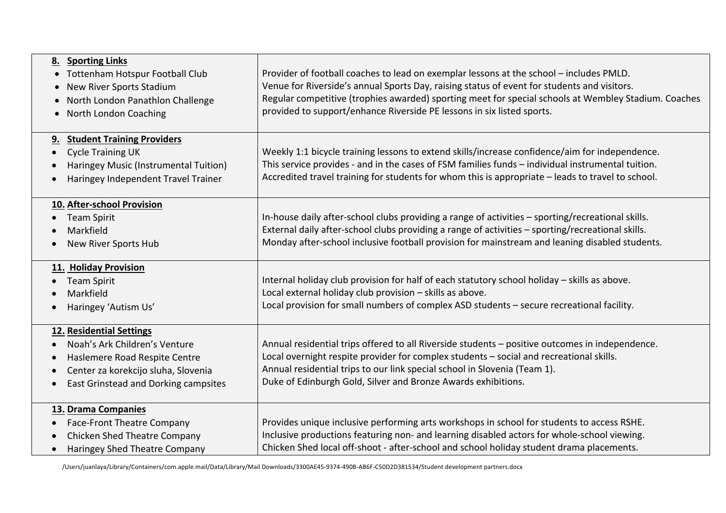| <b>Sporting Links</b><br>8.<br>Tottenham Hotspur Football Club<br>New River Sports Stadium<br>North London Panathlon Challenge<br>North London Coaching                                                          | Provider of football coaches to lead on exemplar lessons at the school - includes PMLD.<br>Venue for Riverside's annual Sports Day, raising status of event for students and visitors.<br>Regular competitive (trophies awarded) sporting meet for special schools at Wembley Stadium. Coaches<br>provided to support/enhance Riverside PE lessons in six listed sports. |
|------------------------------------------------------------------------------------------------------------------------------------------------------------------------------------------------------------------|--------------------------------------------------------------------------------------------------------------------------------------------------------------------------------------------------------------------------------------------------------------------------------------------------------------------------------------------------------------------------|
| <b>Student Training Providers</b><br><u>9.</u><br><b>Cycle Training UK</b><br>$\bullet$<br>Haringey Music (Instrumental Tuition)<br>Haringey Independent Travel Trainer                                          | Weekly 1:1 bicycle training lessons to extend skills/increase confidence/aim for independence.<br>This service provides - and in the cases of FSM families funds - individual instrumental tuition.<br>Accredited travel training for students for whom this is appropriate - leads to travel to school.                                                                 |
| 10. After-school Provision<br><b>Team Spirit</b><br>$\bullet$<br>Markfield<br>New River Sports Hub                                                                                                               | In-house daily after-school clubs providing a range of activities - sporting/recreational skills.<br>External daily after-school clubs providing a range of activities - sporting/recreational skills.<br>Monday after-school inclusive football provision for mainstream and leaning disabled students.                                                                 |
| 11. Holiday Provision<br><b>Team Spirit</b><br>Markfield<br>Haringey 'Autism Us'                                                                                                                                 | Internal holiday club provision for half of each statutory school holiday - skills as above.<br>Local external holiday club provision - skills as above.<br>Local provision for small numbers of complex ASD students - secure recreational facility.                                                                                                                    |
| 12. Residential Settings<br>Noah's Ark Children's Venture<br>$\bullet$<br>Haslemere Road Respite Centre<br>$\bullet$<br>Center za korekcijo sluha, Slovenia<br>East Grinstead and Dorking campsites<br>$\bullet$ | Annual residential trips offered to all Riverside students - positive outcomes in independence.<br>Local overnight respite provider for complex students - social and recreational skills.<br>Annual residential trips to our link special school in Slovenia (Team 1).<br>Duke of Edinburgh Gold, Silver and Bronze Awards exhibitions.                                 |
| 13. Drama Companies<br><b>Face-Front Theatre Company</b><br>$\bullet$<br>Chicken Shed Theatre Company<br>$\bullet$<br>Haringey Shed Theatre Company<br>$\bullet$                                                 | Provides unique inclusive performing arts workshops in school for students to access RSHE.<br>Inclusive productions featuring non- and learning disabled actors for whole-school viewing.<br>Chicken Shed local off-shoot - after-school and school holiday student drama placements.                                                                                    |

/Users/juanlaya/Library/Containers/com.apple.mail/Data/Library/Mail Downloads/3300AE45-9374-490B-AB6F-C50D2D381534/Student development partners.docx